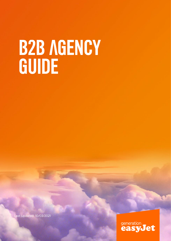# B2B AGENCY GUIDE

Last Updated: 10/03/2021

generation<br>**easyJet**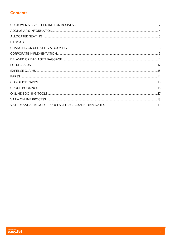# **Contents**

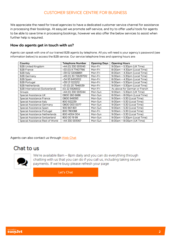# CUSTOMER SERVICE CENTRE FOR BUSINESS

<span id="page-2-0"></span>We appreciate the need for travel agencies to have a dedicated customer service channel for assistance in processing their bookings. At easyJet we promote self-service, and try to offer useful tools for agents to be able to save time in processing bookings, however we also offer the below services to assist when further help is required.

### How do agents get in touch with us?

Agents can speak with one of our trained B2B agents by telephone. All you will need is your agency's password (see information below) to access the B2B service. Our service telephone lines and opening hours are:

| Country                          | <b>Telephone Number</b> | <b>Opening Days</b> | <b>Opening Hours</b>            |
|----------------------------------|-------------------------|---------------------|---------------------------------|
| <b>B2B United Kingdom</b>        | +44 (0) 330 5515145     | Mon-Fri             | 9:00am – 5:30pm (UK Time)       |
| <b>B2B France</b>                | +33 (0) 9 77407766      | Mon-Fri             | 8:00am - 4:30pm (Local Time)    |
| B <sub>2</sub> B Italy           | +39 02 32068891         | Mon-Fri             | $8:00$ am – 4:30pm (Local Time) |
| <b>B2B Germany</b>               | +49 (0) 30 726297512    | Mon-Fri             | $9:00$ am – 5:30pm (Local Time) |
| <b>B2B Spain</b>                 | +34 93 6410002          | Mon-Fri             | 8:00am - 4:30pm (Local Time)    |
| <b>B2B Portugal</b>              | +351 21 1222212         | Mon-Fri             | $9:00$ am – 5:30pm (Local Time) |
| <b>B2B Netherlands</b>           | +31 (0) 20 7946539      | Mon-Fri             | $9:00$ am – 5:30pm (Local Time) |
| B2B International (Switzerland)  | (0) 22 5926602          | Mon-Fri             | As above for German or French   |
| Groups                           | +44 (0) 330 5515144     | Mon-Sun             | 9:00am - 5:30pm (UK Time)       |
| Special Assistance UK            | 0800 260 6686           | Mon-Sun             | 8:00am - 8:00pm (Local Time)    |
| Special Assistance France        | 0800 949393             | Mon-Sun             | 9:00am - 5:30 (Local Time)      |
| Special Assistance Italy         | 800 922239              | Mon-Sun             | 9:00am – 5:30 (Local Time)      |
| Special Assistance Germany       | 0800 000 0077           | Mon-Sun             | 9:00am - 5:30 (Local Time)      |
| Special Assistance Spain         | 900 801 801             | Mon-Sun             | 9:00am - 5:30 (Local Time)      |
| Special Assistance Portugal      | 800 780088              | Mon-Fri             | 9:00am - 5:30 (Local Time)      |
| Special Assistance Netherlands   | 800 4004 004            | Mon-Sun             | 9:00am - 5:30 (Local Time)      |
| Special Assistance Switzerland   | 800 00 19 99            | Mon-Sun             | 9:00am - 5:30pm (Local Time)    |
| Special Assistance Rest of World | +44 330 5515167         | Mon-Sun             | 8:00am - 8:00pm (UK Time)       |

Agents can also contact us through [Web Chat](https://www.easyjet.com/en/help/contact)

# Chat to us



We're available 8am - 8pm daily and you can do everything through chatting with us that you can do if you call us, including taking secure payments. If we're busy please refresh your page

Let's Chat

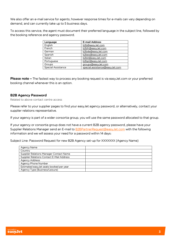We also offer an e-mail service for agents; however response times for e-mails can vary depending on demand, and can currently take up to 5 business days.

To access this service, the agent must document their preferred language in the subject line, followed by the booking reference and agency password.

| Language           | <b>E-mail Address</b>          |
|--------------------|--------------------------------|
| English            | b2b@easyJet.com                |
| French             | b2bfr@easyJet.com              |
| German             | b2bde@easyJet.com              |
| Spanish            | b2bes@easyJet.com              |
| Italian            | b2bit@easyJet.com              |
| Portuguese         | b2bpt@easyJet.com              |
| Groups             | groups@easyJet.com             |
| Special Assistance | special.assistance@easyJet.com |

**Please note –** The fastest way to process any booking request is via easyJet.com or your preferred booking channel whenever this is an option.

### B2B Agency Password

Related to above contact centre access

Please refer to your supplier pages to find your easyJet agency password, or alternatively, contact your supplier relations representative.

If your agency is part of a wider consortia group, you will use the same password allocated to that group.

If your agency or consortia group does not have a current B2B agency password, please have your Supplier Relations Manager send an E-mail to **B2BPartnerRequest@easyJet.com** with the following information and we will assess your need for a password within 14 days:

Subject Line: Password Request for new B2B Agency set-up for XXXXXXX (Agency Name)

| Agency Name                               |  |
|-------------------------------------------|--|
| Country                                   |  |
| Supplier Relations Manager Contact Name   |  |
| Supplier Relations Contact E-Mail Address |  |
| <b>Agency Address</b>                     |  |
| Agency Phone Number                       |  |
| Estimated easyJet seats booked per year   |  |
| Agency Type (Business/Leisure)            |  |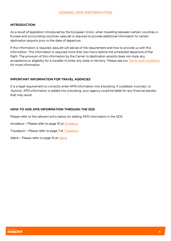# ADDING APIS INFORMATION

### <span id="page-4-0"></span>INTRODUCTION

As a result of legislation introduced by the European Union, when travelling between certain countries in Europe and surrounding countries, easyJet is required to provide additional information to certain destination airports prior to the date of departure.

If this information is required, easyJet will advise of the requirement and how to provide us with this information. This information is required more than two hours before the scheduled departure of the flight. The provision of this information by the Carrier to destination airports does not imply any acceptance or eligibility for a traveller to enter any state or territory. Please see our [Terms and Conditions](https://www.easyjet.com/en/terms-and-conditions#a27) for more information.

### IMPORTANT INFORMATION FOR TRAVEL AGENCIES

It is a legal requirement to correctly enter APIS information into a booking. If outdated, incorrect, or 'dummy' APIS information is added into a booking, your agency could be liable for any financial penalty that may result.

### HOW TO ADD APIS INFORMATION THROUGH THE GDS

Please refer to the relevant entry below for adding APIS information in the GDS.

Amadeus – Please refer to page 10 at [Amadeus](http://www.easyjet.com/amadeus)

Travelport – Please refer to page 7 at [Travelport](http://www.easyjet.com/galileo)

Sabre – Please refer to page 14 at [Sabre](http://www.easyjet.com/sabre)

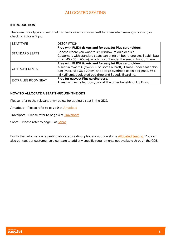# ALLOCATED SEATING

### <span id="page-5-0"></span>INTRODUCTION

There are three types of seat that can be booked on our aircraft for a fee when making a booking or checking in for a flight.

| <b>SEAT TYPE</b>      | <b>DESCRIPTION</b>                                                       |
|-----------------------|--------------------------------------------------------------------------|
|                       | Free with FLEXI tickets and for easyJet Plus cardholders.                |
| <b>STANDARD SEATS</b> | Choose where you want to sit, window, middle or aisle.                   |
|                       | Customers with standard seats can bring on board one small cabin bag     |
|                       | (max. 45 x 36 x 20cm), which must fit under the seat in front of them    |
|                       | Free with FLEXI tickets and for easyJet Plus cardholders.                |
| UP FRONT SEATS        | A seat in rows 2-6 (rows 2-5 on some aircraft), 1 small under seat cabin |
|                       | bag (max. 45 x 36 x 20cm) and 1 large overhead cabin bag (max. 56 x      |
|                       | 45 x 25 cm), dedicated bag drop and Speedy Boarding.                     |
| EXTRA LEG ROOM SEAT   | Free for easyJet Plus cardholders.                                       |
|                       | A seat with extra legroom, plus all the other benefits of Up Front.      |

### HOW TO ALLOCATE A SEAT THROUGH THE GDS

Please refer to the relevant entry below for adding a seat in the GDS.

- Amadeus Please refer to page 9 at [Amadeus](http://www.easyjet.com/amadeus)
- Travelport Please refer to page 4 at [Travelport](http://www.easyjet.com/galileo)
- Sabre Please refer to page 8 at [Sabre](http://www.easyjet.com/sabre)

For further information regarding allocated seating, please visit our website **Allocated Seating**. You can also contact our customer service team to add any specific requirements not available through the GDS.

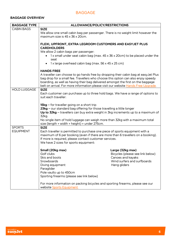# BAGGAGE

# <span id="page-6-0"></span>BAGGAGE OVERVIEW

| <b>BAGGAGE TYPE</b> | ALLOWANCE/POLICY/RESTRICTIONS                                                                                                                                            |                                  |  |
|---------------------|--------------------------------------------------------------------------------------------------------------------------------------------------------------------------|----------------------------------|--|
| <b>CABIN BAGS</b>   | <b>SIZE</b>                                                                                                                                                              |                                  |  |
|                     | We allow one small cabin bag per passenger. There is no weight limit however the                                                                                         |                                  |  |
|                     | maximum size is 45 x 36 x 20cm.                                                                                                                                          |                                  |  |
|                     | FLEXI, UPFRONT, EXTRA LEGROOM CUSTOMERS AND EASYJET PLUS                                                                                                                 |                                  |  |
|                     | <b>CARDHOLDERS</b>                                                                                                                                                       |                                  |  |
|                     | We allow 2 cabin bags per passenger:                                                                                                                                     |                                  |  |
|                     | • 1x small under seat cabin bag (max. $45 \times 36 \times 20$ cm) to be placed under the<br>seat                                                                        |                                  |  |
|                     | 1 x large overhead cabin bag (max. 56 x 45 x 25 cm)<br>$\bullet$                                                                                                         |                                  |  |
|                     | <b>HANDS FREE</b>                                                                                                                                                        |                                  |  |
|                     | A traveller can choose to go hands free by dropping their cabin bag at easyJet Plus<br>bag drop for a small fee. Travellers who choose this option can also enjoy speedy |                                  |  |
|                     | boarding, as well as having their bag delivered amongst the first on the baggage                                                                                         |                                  |  |
|                     | belt on arrival. For more information please visit our website Hands Free Upgrade.                                                                                       |                                  |  |
| <b>HOLD LUGGAGE</b> | <b>SIZE</b>                                                                                                                                                              |                                  |  |
|                     | Each customer can purchase up to three hold bags. We have a range of options to                                                                                          |                                  |  |
|                     | suit each traveller:                                                                                                                                                     |                                  |  |
|                     |                                                                                                                                                                          |                                  |  |
|                     | $15kg$ – for traveller going on a short trip                                                                                                                             |                                  |  |
|                     | 23kg – our standard bag offering for those travelling a little longer                                                                                                    |                                  |  |
|                     | Up to $32kg$ – travellers can buy extra weight in 3kg increments up to a maximum of<br>32kg.                                                                             |                                  |  |
|                     | No single item of hold luggage can weigh more than 32kg with a maximum total                                                                                             |                                  |  |
|                     | size (length + width + height) = under 275cm.                                                                                                                            |                                  |  |
| <b>SPORTS</b>       | <b>SIZE</b>                                                                                                                                                              |                                  |  |
| <b>EQUIPMENT</b>    | Each traveller is permitted to purchase one piece of sports equipment with a                                                                                             |                                  |  |
|                     | maximum of 6 per booking (even if there are more than 6 travellers on a booking).                                                                                        |                                  |  |
|                     | If more is required, please contact customer services.                                                                                                                   |                                  |  |
|                     | We have 2 sizes for sports equipment:                                                                                                                                    |                                  |  |
|                     | Small (20kg max)                                                                                                                                                         | Large (32kg max)                 |  |
|                     | Golf clubs                                                                                                                                                               | Bicycles (please see link below) |  |
|                     | Skis and boots                                                                                                                                                           | Canoes and kayaks                |  |
|                     | Snowboards                                                                                                                                                               | Wind surfers and surfboards      |  |
|                     | Diving equipment                                                                                                                                                         | Hang gliders                     |  |
|                     | Paraglider                                                                                                                                                               |                                  |  |
|                     | Pole vaults up to 450cm                                                                                                                                                  |                                  |  |
|                     | Sporting firearms (please see link below)                                                                                                                                |                                  |  |
|                     | For more information on packing bicycles and sporting firearms, please see our                                                                                           |                                  |  |
|                     | website Sports Equipment.                                                                                                                                                |                                  |  |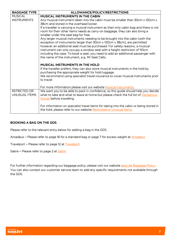| <b>BAGGAGE TYPE</b> | ALLOWANCE/POLICY/RESTRICTIONS                                                                                                                              |
|---------------------|------------------------------------------------------------------------------------------------------------------------------------------------------------|
| <b>MUSICAL</b>      | <b>MUSICAL INSTRUMENTS IN THE CABIN</b>                                                                                                                    |
| <b>INSTRUMENTS</b>  | Any musical instrument taken into the cabin must be smaller than 30cm x 120cm x                                                                            |
|                     | 38cm and stored in the overhead locker.                                                                                                                    |
|                     | If a traveller is carrying a musical instrument as their only cabin bag and there is not                                                                   |
|                     | room for their other items needs as carry-on baggage, they can also bring a                                                                                |
|                     | smaller under the seat bag for free.                                                                                                                       |
|                     | Any larger musical instruments needing to be brought into the cabin (with the                                                                              |
|                     | exception of instruments larger than 30cm x 120cm x 38cm), are permitted                                                                                   |
|                     | however an additional seat must be purchased. For safety reasons, a musical<br>instrument can only occupy a window seat with a height restriction of 110cm |
|                     | including the case. To book a seat, you need to add an additional passenger with                                                                           |
|                     | the name of the instrument, e.g. Mr Seat Cello.                                                                                                            |
|                     |                                                                                                                                                            |
|                     | <b>MUSICAL INSTRUMENTS IN THE HOLD</b>                                                                                                                     |
|                     | If the traveller prefers, they can also store musical instruments in the hold by                                                                           |
|                     | purchasing the appropriate weight for hold luggage.                                                                                                        |
|                     | We recommend using specialist travel insurance to cover musical instruments prior                                                                          |
|                     | to travel.                                                                                                                                                 |
|                     |                                                                                                                                                            |
|                     | For more information please visit our website Musical Instruments.                                                                                         |
| <b>RSTRICTED OR</b> | We want you to be able to pack in confidence, so this guide should help you decide                                                                         |
| UNUSUAL ITEMS       | what to take and what to leave at home but please check the full list of Dangerous                                                                         |
|                     | Goods before travelling.                                                                                                                                   |
|                     | For information on specialist travel items for taking into the cabin or being stored in                                                                    |
|                     | the hold, please refer to our website Restricted or Unusual Items.                                                                                         |
|                     |                                                                                                                                                            |

### BOOKING A BAG ON THE GDS

Please refer to the relevant entry below for adding a bag in the GDS.

Amadeus – Please refer to page 16 for a standard bag or page 7 for excess weight at [Amadeus](http://www.easyjet.com/amadeus)

Travelport – Please refer to page 12 at **Travelport** 

Sabre – Please refer to page 2 at [Sabre](http://www.easyjet.com/sabre)

For further information regarding our baggage policy, please visit our website [easyJet Baggage Policy.](http://www.easyjet.com/en/help/baggage/cabin-bag-and-hold-luggage) You can also contact our customer service team to add any specific requirements not available through the GDS.

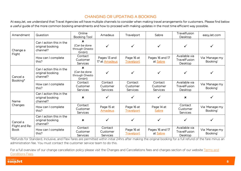# CHANGING OR UPDATING A BOOKING

At easyJet, we understand that Travel Agencies will have multiple channels to consider when making travel arrangements for customers. Please find below a useful guide of the more common booking amendments and how to proceed with making updates in the most time efficient way possible.

<span id="page-8-0"></span>

| Amendment                                 | Question                                                 | Online<br><b>Booking Tool</b>                                        | Amadeus                                | Travelport                             | Sabre                                  | Travelfusion<br>Desktop                         | easyJet.com                |
|-------------------------------------------|----------------------------------------------------------|----------------------------------------------------------------------|----------------------------------------|----------------------------------------|----------------------------------------|-------------------------------------------------|----------------------------|
| Change a                                  | Can I action this in the<br>original booking<br>channel? | ×<br>(Can be done<br>through Onesto<br>GmbH)                         |                                        |                                        |                                        |                                                 |                            |
| Flight                                    | How can I complete<br>this?                              | Contact<br>Customer<br><b>Services</b>                               | Pages 13 and<br>17 at Amadeus          | Page 16 at<br>Travelport               | Pages 16 and 17<br>at Sabre            | Available via<br><b>TravelFusion</b><br>Desktop | Via 'Manage my<br>Booking' |
| Cancel a                                  | Can I action this in the<br>original booking<br>channel? | $\boldsymbol{\mathsf{x}}$<br>(Can be done<br>through Onesto<br>GmbH) |                                        |                                        |                                        |                                                 |                            |
| Booking*                                  | How can I complete<br>this?                              | Contact<br>Customer<br><b>Services</b>                               | Contact<br>Customer<br><b>Services</b> | Contact<br>Customer<br><b>Services</b> | Contact<br>Customer<br><b>Services</b> | Available via<br><b>TravelFusion</b><br>Desktop | Via 'Manage my<br>Booking' |
| Name                                      | Can I action this in the<br>original booking<br>channel? | $\mathbf x$                                                          |                                        | ✓                                      |                                        | $\mathbf x$                                     |                            |
| Changes                                   | How can I complete<br>this?                              | Contact<br>Customer<br><b>Services</b>                               | Page 15 at<br><b>Amadeus</b>           | Page 16 at<br><b>Travelport</b>        | Page 14 at<br>Sabre                    | Contact<br>Customer<br><b>Services</b>          | Via 'Manage my<br>Booking' |
| Cancel a<br>Flight and Re-<br><b>Book</b> | Can I action this in the<br>original booking<br>channel? | $\boldsymbol{\mathsf{x}}$                                            |                                        | ✓                                      |                                        |                                                 |                            |
|                                           | How can I complete<br>this?                              | Contact<br>Customer<br><b>Services</b>                               | Contact<br>Customer<br><b>Services</b> | Page 16 at<br>Travelport               | Pages 16 and 17<br>at Sabre            | Available via<br><b>TravelFusion</b><br>Desktop | Via 'Manage my<br>Booking' |

\*Refunds for Standard, Inclusive, and Flexi fares are permitted within initial 24hrs after making the original booking for a full refund of the fare minus an administration fee. You must contact the customer service team to do this.

For a full overview of our change cancellation policy please visit the Changes and Cancellations fees and charges section of our website Terms and [Conditions Fees.](https://www.easyjet.com/en/terms-and-conditions/fees) 

8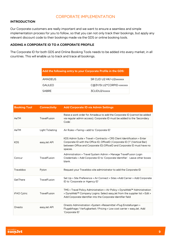## CORPORATE IMPLEMENTATION

### <span id="page-9-0"></span>INTRODUCTION

Our Corporate customers are really important and we want to ensure a seamless and simple implementation process for you to follow, so that you can not only track their bookings, but apply any relevant discount code to their bookings made via the GDS or online booking tools.

### ADDING A CORPORATE ID TO A CORPORATE PROFILE

The Corporate ID for both GDS and Online Booking Tools needs to be added into every market, in all countries. This will enable us to track and trace all bookings.

| Add the following entry to your Corporate Profile in the GDS: |                          |
|---------------------------------------------------------------|--------------------------|
| <b>AMADEUS</b>                                                | SR CLID U2 HK/-U2xxxxxx  |
| <b>GALILEO</b>                                                | C@3Y/SI.U2*CORPID-xxxxxx |
| <b>SABRE</b>                                                  | 3CLIDU2/xxxxx            |

| <b>Booking Tool</b> | <b>Connectivity</b> | <b>Add Corporate ID via Admin Settings</b>                                                                                                                                                                                                     |
|---------------------|---------------------|------------------------------------------------------------------------------------------------------------------------------------------------------------------------------------------------------------------------------------------------|
| AeTM                | TravelFusion        | Raise a work order for Amadeus to add the Corporate ID (cannot be added<br>via regular admin access). Corporate ID must be added to the 'Secondary<br>Code'.                                                                                   |
| AeTM                | Light Ticketing     | Air Rules > Faring > add to 'Corporate ID'                                                                                                                                                                                                     |
| <b>KDS</b>          | easyJet API         | KDS Admin Suite > Travel > Contracts > CRS Client Identification > Enter<br>Corporate ID with the Office ID; OfficeID   Corporate ID ("I" (Vertical Bar)<br>between Office and Corporate ID) OfficeID and Corporate ID must have no<br>spaces. |
| Concur              | TravelFusion        | Administration > Travel System Admin > Manage TravelFusion Login<br>Credentials > Add Corporate ID to 'Corporate Identifier'. Leave other boxes<br>blank.                                                                                      |
| Traveldoo           | Pyton               | Request your Traveldoo site administrator to add the Corporate ID                                                                                                                                                                              |
| GetThere            | TravelFusion        | Set Up > Site Preference > Air Connect > Sites > Add Carrier > Add Corporate<br>ID to 'Corporate or Agency ID'                                                                                                                                 |
| iFAO Cytric         | <b>TravelFusion</b> | TMS > Travel Policy Administration > Air Policy > DynaWeb™ Administration<br>> DynaWeb™ Company Logins: Select easyJet from the supplier list > Edit ><br>Add Corporate Identifier into the Corporate Identifier field                         |
| Onesto              | easyJet API         | Onesto Administration > System > Reisemittel > Flug Einstellungen ><br>Flugabfrage / Verfugbarkeit / Pricing > Low cost carrier > easyJet. Add<br>'Corporate ID'                                                                               |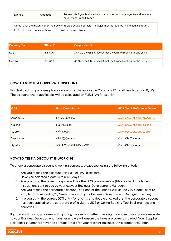| Egencia                                                                                                                    | Amadeus | Request via Egencia site administrator or account manager to add to every<br>country set-up on Egencia. |  |
|----------------------------------------------------------------------------------------------------------------------------|---------|---------------------------------------------------------------------------------------------------------|--|
| Office ID for the majority of online booking tools is set as a default - no adjustment is required in site administration. |         |                                                                                                         |  |
| KDS and Onesto are exceptions which must be set as follows:                                                                |         |                                                                                                         |  |

| <b>Booking Tool</b> | <b>Office ID</b> | <b>Corporate ID</b>                                             |
|---------------------|------------------|-----------------------------------------------------------------|
| KDS.                | <b>KDSXXXX</b>   | XXXX is the GDS office ID that the Online Booking Tool is using |
| Onesto              | <b>ONXXXX</b>    | XXXX is the GDS office ID that the Online Booking Tool is using |

### HOW TO QUOTE A CORPORATE DISCOUNT

For deal tracking purposes please quote using the applicable Corporate ID for all fare types: (Y, B, W). The discount where applicable, will be calculated on FLEXI (W) fares only.

| <b>GDS</b> | <b>Fare Quote Input</b>     | <b>GDS Quick Reference Guide</b> |
|------------|-----------------------------|----------------------------------|
| Amadeus    | FXP/R, Uxxxxxx              | www.easyJet.com/amadeus          |
| Galileo    | FQ-ACxxxxx                  | www.easyJet.com/galileo          |
| Sabre      | <b>WPI xxxxx</b>            | www.easyJet.com/sabre            |
| Worldspan  | 4P#/@@xxxxx                 | Visit ASK Travelport             |
| Apollo     | <b>30SIU2 CORPID-XXXXXX</b> | Visit ASK Travelport             |

### HOW TO TEST A DISCOUNT IS WORKING

To check a corporate discount is working correctly, please test using the following criteria:

- 1. Are you testing the discount using a Flexi (W) class fare?
- 2. Have you selected a date within 120 days?
- 3. Are you using the correct corporate ID for the GDS you are using? (Please check the ticketing instructions sent to you by your easyJet Business Development Manager)
- 4. Are you testing the corporate discount using one of the Office IDs (Pseudo City Codes) sent to easyJet for fare loading? (Please check with your Business Development Manager if unsure)
- 5. Are you using the correct GDS entry for pricing, and double checked that the corporate discount has been applied to the corporate profile via the GDS or Online Booking Tool in all markets and countries.

If you are still having problems with quoting the discount after checking the above points, please escalate to your Business Development Manager and we will ensure the fares are correctly loaded. Your Supplier Relations Manager will have the contact details for your relevant Business Development Manager.

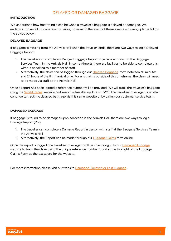# DELAYED OR DAMAGED BAGGAGE

### <span id="page-11-0"></span>INTRODUCTION

We understand how frustrating it can be when a traveller's baggage is delayed or damaged. We endeavour to avoid this wherever possible, however in the event of these events occurring, please follow the advice below.

### DELAYED BAGGAGE

If baggage is missing from the Arrivals Hall when the traveller lands, there are two ways to log a Delayed Baggage Report:

- 1. The traveller can complete a Delayed Baggage Report in person with staff at the Baggage Services Team in the Arrivals Hall. In some Airports there are facilities to be able to complete this without speaking to a member of staff.
- 2. Alternatively, the claim can be logged through our [Delayed Baggage](https://delayedbaggage.easyjet.com/en-en/) form between 30 minutes and 24 hours of the flight arrival time. For any claims outside of this timeframe, the claim will need to be made via staff at the Arrivals Hall.

Once a report has been logged a reference number will be provided. We will track the traveller's baggage using the [WorldTracer](https://wtrweb.worldtracer.aero/WTRInternet/wtwflowinternet.do?_flowExecutionKey=_c6EE8A379-4784-F6C9-9213-100C3AB1BE72_k847EDDD2-A46C-9FED-9278-E7BB3C1230C7) website and keep the traveller update via SMS. The traveller/travel agent can also continue to track the delayed baggage via this same website or by calling our customer service team.

### DAMAGED BAGGAGE

If baggage is found to be damaged upon collection in the Arrivals Hall, there are two ways to log a Damage Report (PIR):

- 1. The traveller can complete a Damage Report in person with staff at the Baggage Services Team in the Arrivals Hall.
- 2. Alternatively, the Report can be made through our **[Luggage Claims](https://easyjet.airlineluggageclaims.com/)** form online.

Once the report is logged, the traveller/travel agent will be able to log in to our [Damaged Luggage](http://damagedluggage.com/) website to track the claim using the unique reference number found at the top right of the Luggage Claims Form as the password for the website.

For more information please visit our website [Damaged, Delayed or Lost Luggage.](https://www.easyjet.com/en/help/baggage/damaged-delayed-or-lost-luggage)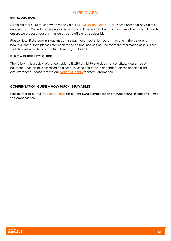# EU261 CLAIMS

### <span id="page-12-0"></span>INTRODUCTION

All claims for EU261 must now be made via our **EU261 Online Claims Form. Please note that any claims** received by E-Mail will not be processed and you will be referred back to the online claims form. This is to ensure we process your claim as quickly and efficiently as possible.

Please Note: If the booking was made via a payment mechanism other than one in the traveller or bookers' name, then please refer back to the original booking source for more information as it is likely that they will need to process the claim on your behalf.

### EU261 – ELIGIBILITY GUIDE

The following is a quick reference guide to EU261 eligibility and does not constitute guarantee of payment. Each claim is assessed on a case-by-case basis and is dependent on the specific flight circumstances. Please refer to our [Notice of Rights](https://www.easyjet.com/en/terms-and-conditions/notice-of-rights-for-flight-delays-and-cancellations) for more information.

### COMPENSATION GUIDE – HOW MUCH IS PAYABLE?

Please refer to our full **Notice of Rights** for current EU61 compensation amounts found in section 1: Right to Compensation.

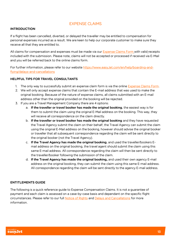# EXPENSE CLAIMS

### <span id="page-13-0"></span>INTRODUCTION

If a flight has been cancelled, diverted, or delayed the traveller may be entitled to compensation for personal expenses incurred as a result. We are keen to help our corporate customer to make sure they receive all that they are entitled to.

All claims for compensation and expenses must be made via our [Expense Claims Form](https://www.easyjet.com/en/claim/welfare) with valid receipts included with the submission. Please note, claims will not be accepted or processed if received via E-Mail and you will be referred back to the online claims form.

For further information, please refer to our website [https://www.easyJet.com/en/help/boarding-and](https://www.easyjet.com/en/help/boarding-and-flying/delays-and-cancellations)[flying/delays-and-cancellations](https://www.easyjet.com/en/help/boarding-and-flying/delays-and-cancellations) 

### HELPFUL TIPS FOR TRAVEL CONSULTANTS

- 1. The only way to successfully submit an expense claim form is via the online [Expense Claims Form.](https://www.easyjet.com/en/claim/welfare)
- 2. We will only accept expense claims that contain the E-mail address that was used to make the original booking. Because of the nature of expense claims, all claims submitted with an E-mail address other than the original provided on the booking will be rejected.
- 3. If you are a Travel Management Company there are 4 options:
	- a. If the traveller or travel booker has made the original booking, the easiest way is for them to submit the claim using the original E-Mail address on the booking. This way, they will receive all correspondence on the claim directly.
	- b. If the traveller or travel booker has made the original booking and they have requested the Travel Agency submit the claim on their behalf, the Travel Agency can submit the claim using the original E-Mail address on the booking, however should advise the original booker or traveller that all subsequent correspondence regarding the claim will be sent directly to the original booker (not the Travel Agency).
	- c. If the Travel Agency has made the original booking, and used the traveller/bookers Email address on the original booking, the travel agent should submit the claim using this same E-mail address. All correspondence regarding the claim will then be sent directly to the traveller/booker following the submission of the claim.
	- d. If the Travel Agency has made the original booking, and used their own agency E-mail address on the original booking, they can submit the claim using this same E-mail address. All correspondence regarding the claim will be sent directly to the agency E-mail address.

### ENTITLEMENTS GUIDE

The following is a quick reference guide to Expense Compensation Claims. It is not a guarantee of payment and each claim is assessed on a case-by-case basis and dependant on the specific flight circumstances. Please refer to our full [Notice of Rights](https://www.easyjet.com/en/terms-and-conditions/notice-of-rights-for-flight-delays-and-cancellations) and [Delays and Cancellations](https://www.easyjet.com/en/help/boarding-and-flying/delays-and-cancellations) for more information.

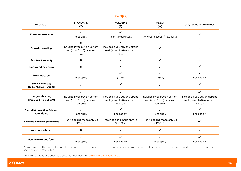### <span id="page-14-0"></span>FARES

| <b>PRODUCT</b>                                                | <b>STANDARD</b><br>(Y)                                                                                   | <b>INCLUSIVE</b><br>(B)                                                                       | <b>FLEXI</b><br>(W)                                                              | easyJet Plus card holder                                                         |
|---------------------------------------------------------------|----------------------------------------------------------------------------------------------------------|-----------------------------------------------------------------------------------------------|----------------------------------------------------------------------------------|----------------------------------------------------------------------------------|
| <b>Free seat selection</b>                                    | $\mathbf x$<br>Fees apply                                                                                | $\checkmark$<br>Rear standard Seat                                                            | ✓<br>Any seat except 1 <sup>st</sup> row seats                                   |                                                                                  |
| <b>Speedy boarding</b>                                        | $\mathbf x$<br>Included if you buy an upfront<br>seat (rows 1 to 6) or an exit<br>row.                   | ×<br>Included if you buy an upfront<br>seat (rows 1 to 6) or an exit<br>row.                  |                                                                                  |                                                                                  |
| <b>Fast track security</b>                                    | $\boldsymbol{\mathsf{x}}$                                                                                | $\mathbf x$                                                                                   | $\checkmark$                                                                     | $\checkmark$                                                                     |
| Dedicated bag drop                                            | $\boldsymbol{\mathsf{x}}$                                                                                | $\pmb{\times}$                                                                                | $\checkmark$                                                                     | $\checkmark$                                                                     |
| <b>Hold luggage</b>                                           | $\boldsymbol{\mathsf{x}}$<br>Fees apply                                                                  | $\checkmark$<br>(23kg)                                                                        | $\checkmark$<br>(23kg)                                                           | $\pmb{\times}$<br>Fees apply                                                     |
| Small cabin bag<br>$(max. 45 \times 36 \times 20cm)$          | ✓                                                                                                        | ✓                                                                                             | $\checkmark$                                                                     |                                                                                  |
| Large cabin bag<br>$(max. 56 \times 45 \times 25 \text{ cm})$ | $\boldsymbol{\mathsf{x}}$<br>Included if you buy an upfront<br>seat (rows 1 to 6) or an exit<br>row seat | $\pmb{\times}$<br>Included if you buy an upfront<br>seat (rows 1 to 6) or an exit<br>row seat | ✓<br>Included if you buy an upfront<br>seat (rows 1 to 6) or an exit<br>row seat | ✓<br>Included if you buy an upfront<br>seat (rows 1 to 6) or an exit<br>row seat |
| <b>Cancellation within 24h and</b><br>refundable              | $\checkmark$<br>Fees apply                                                                               | ✓<br>Fees apply                                                                               | $\checkmark$<br>Fees apply                                                       | ✓<br>Fees apply                                                                  |
| Take the earlier flight for free                              | Free if booking made only via<br>GDS/OBT                                                                 | Free if booking made only via<br>GDS/OBT                                                      | Free if booking made only via<br>GDS/OBT                                         |                                                                                  |
| Voucher on board                                              | $\boldsymbol{\mathsf{x}}$                                                                                | $\boldsymbol{\mathsf{x}}$                                                                     | ✓                                                                                | $\boldsymbol{\mathsf{x}}$                                                        |
| No-show (rescue fee) *                                        | ✓<br>Fees apply                                                                                          | ✓<br>Fees apply                                                                               | ✓<br>Fees apply                                                                  | ✓<br>Fees apply                                                                  |

\*If you arrive at the airport too late, but no later than two hours of your original flight's scheduled departure time, you can transfer to the next available flight on the same day for a rescue fee.

14

For all of our fees and charges please visit our website Terms and Conditions Fees.

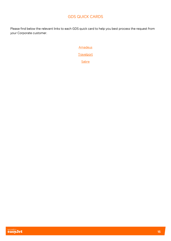# GDS QUICK CARDS

<span id="page-15-0"></span>Please find below the relevant links to each GDS quick card to help you best process the request from your Corporate customer.

**[Amadeus](http://www.easyjet.com/amadeus)** 

**[Travelport](http://www.easyjet.com/galileo)** 

[Sabre](http://www.easyjet.com/sabre)

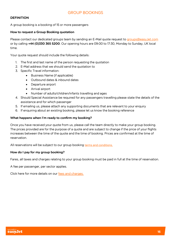### <span id="page-16-0"></span>**DEFINITION**

A group booking is a booking of 15 or more passengers

### How to request a Group Booking quotation

Please contact our dedicated groups team by sending an E-Mail quote request to [groups@easyJet.com](mailto:groups@easyJet.com) or by calling +44 (0)330 365 5200. Our opening hours are 09:00 to 17:30, Monday to Sunday, UK local time.

Your quote request should include the following details:

- 1. The first and last name of the person requesting the quotation
- 2. E-Mail address that we should send the quotation to
- 3. Specific Travel information:
	- Business Name (if applicable)
	- Outbound dates & inbound dates
	- Departure airport
	- Arrival airport
	- Number of adults/children/infants travelling and ages
- 4. Should Special Assistance be required for any passengers travelling please state the details of the assistance and for which passenger
- 5. If emailing us, please attach any supporting documents that are relevant to your enquiry
- 6. If enquiring about an existing booking, please let us know the booking reference

### What happens when I'm ready to confirm my booking?

Once you have received your quote from us, please call the team directly to make your group booking. The prices provided are for the purpose of a quote and are subject to change if the price of your flights increases between the time of the quote and the time of booking. Prices are confirmed at the time of reservation.

All reservations will be subject to our group booking terms and [conditions.](https://www.easyjet.com/en/terms-and-conditions/group-bookings)

### How do I pay for my group booking?

Fares, all taxes and charges relating to your group booking must be paid in full at the time of reservation.

A fee per passenger, per sector applies.

Click here for more details on our fees and [charges.](https://www.easyjet.com/en/terms-and-conditions/fees)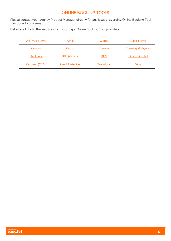# ONLINE BOOKING TOOLS

<span id="page-17-0"></span>Please contact your agency Product Manager directly for any issues regarding Online Booking Tool functionality or issues.

Below are links to the websites for most major Online Booking Tool providers.

| <b>AeTM/e Travel</b> | <b>Atriis</b>       | Clarity          | <b>Click Travel</b>       |
|----------------------|---------------------|------------------|---------------------------|
| Concur               | <b>Cytric</b>       | Egencia          | <b>Freeway (Hillgate)</b> |
| GetThere             | <b>HRG</b> (Online) | <u>KDS</u>       | Onesto GmbH               |
| Redfern (CTM)        | Reed & Mackay       | <b>Traveldoo</b> | <u>Vibe</u>               |

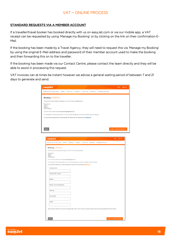# VAT – ONLINE PROCESS

### <span id="page-18-0"></span>STANDARD REQUESTS VIA A MEMBER ACCOUNT

If a traveller/travel booker has booked directly with us on easyJet.com or via our mobile app, a VAT receipt can be requested by using 'Manage my Booking' or by clicking on the link on their confirmation E-Mail.

If the booking has been made by a Travel Agency, they will need to request this via 'Manage my Booking' by using the original E-Mail address and password of their member account used to make the booking and then forwarding this on to the traveller.

If the booking has been made via our Contact Centre, please contact the team directly and they will be able to assist in processing this request.

VAT invoices can at times be instant however we advise a general waiting period of between 7 and 21 days to generate and send.

| easyJet                                                                                                        |        |           |          |            |                                                                                                                                                 |                               | Help Sign out |
|----------------------------------------------------------------------------------------------------------------|--------|-----------|----------|------------|-------------------------------------------------------------------------------------------------------------------------------------------------|-------------------------------|---------------|
| FLIGHTS & TRAVEL INFO   Hotels                                                                                 |        |           |          |            | Transport Holidays Inspire me Business   Manage bookings                                                                                        |                               |               |
| Booking: EVWDV3S                                                                                               |        |           |          |            |                                                                                                                                                 |                               |               |
| The booker name and address will appear on the VAT invoice as detailed below:                                  |        |           |          |            |                                                                                                                                                 |                               |               |
| Simon Brown<br>1 street<br>Town<br>AB2 3CD<br><b>United Kingdom</b>                                            |        |           |          |            |                                                                                                                                                 |                               |               |
| Your VAT invoice will be sent to fiona.mcinnes@easyjet.com                                                     |        |           |          |            |                                                                                                                                                 |                               |               |
| For transactions on this booking where a VAT invoice has already been provided, the details cannot be changed. |        |           |          |            |                                                                                                                                                 |                               |               |
| For any further transactions on this booking, the details can be amended by clicking here.                     |        |           |          |            |                                                                                                                                                 |                               |               |
|                                                                                                                |        |           |          |            |                                                                                                                                                 |                               |               |
|                                                                                                                |        |           |          |            |                                                                                                                                                 |                               |               |
| <b>BACK</b>                                                                                                    |        |           |          |            |                                                                                                                                                 | <b>SUBMIT INVOICE REQUEST</b> |               |
|                                                                                                                |        |           |          |            |                                                                                                                                                 |                               |               |
|                                                                                                                |        |           |          |            |                                                                                                                                                 |                               |               |
| easyJet                                                                                                        |        |           |          |            |                                                                                                                                                 | Sign out<br><b>Help</b>       |               |
| FLIGHTS & TRAVEL INFO                                                                                          | Hotels | Transport | Holidays | Inspire me | Business   Manage bookings                                                                                                                      |                               |               |
|                                                                                                                |        |           |          |            |                                                                                                                                                 |                               |               |
| Booking: EVWDV3S                                                                                               |        |           |          |            |                                                                                                                                                 |                               |               |
| The booker name and address will appear on the VAT invoice as detailed below:<br><b>Simon Brown</b>            |        |           |          |            |                                                                                                                                                 |                               |               |
| 1 street<br>Town<br>AB2 3CD<br>United Kingdom                                                                  |        |           |          |            |                                                                                                                                                 |                               |               |
| Your VAT invoice will be sent to fiona.mcinnes@easyjet.com                                                     |        |           |          |            |                                                                                                                                                 |                               |               |
| For transactions on this booking where a VAT invoice has already been provided, the details cannot be changed. |        |           |          |            |                                                                                                                                                 |                               |               |
| For any further transactions on this booking, the details can be amended by clicking here.                     |        |           |          |            |                                                                                                                                                 |                               |               |
| <b>Company Name</b>                                                                                            |        |           |          |            |                                                                                                                                                 |                               |               |
|                                                                                                                |        |           |          |            |                                                                                                                                                 |                               |               |
| <b>Company VAT numbers</b>                                                                                     |        |           |          |            |                                                                                                                                                 |                               |               |
| <b>Address</b>                                                                                                 |        |           |          |            |                                                                                                                                                 |                               |               |
|                                                                                                                |        |           |          |            |                                                                                                                                                 |                               |               |
| <b>Address continued (optional)</b>                                                                            |        |           |          |            |                                                                                                                                                 |                               |               |
|                                                                                                                |        |           |          |            |                                                                                                                                                 |                               |               |
| Town/City                                                                                                      |        |           |          |            |                                                                                                                                                 |                               |               |
|                                                                                                                |        |           |          |            |                                                                                                                                                 |                               |               |
| Postcode/ZIP                                                                                                   |        |           |          |            |                                                                                                                                                 |                               |               |
| Country                                                                                                        |        |           |          |            |                                                                                                                                                 |                               |               |
|                                                                                                                |        |           |          |            |                                                                                                                                                 |                               |               |
|                                                                                                                |        |           |          |            |                                                                                                                                                 |                               |               |
|                                                                                                                |        |           |          |            | Please note the details above cannot be changed after a VAT invoice has been created so please ensure you have specified the details correctly. |                               |               |
|                                                                                                                |        |           |          |            |                                                                                                                                                 |                               |               |
|                                                                                                                |        |           |          |            |                                                                                                                                                 |                               |               |
| <b>BACK</b>                                                                                                    |        |           |          |            |                                                                                                                                                 | SUBMIT INVOICE REQUEST        |               |